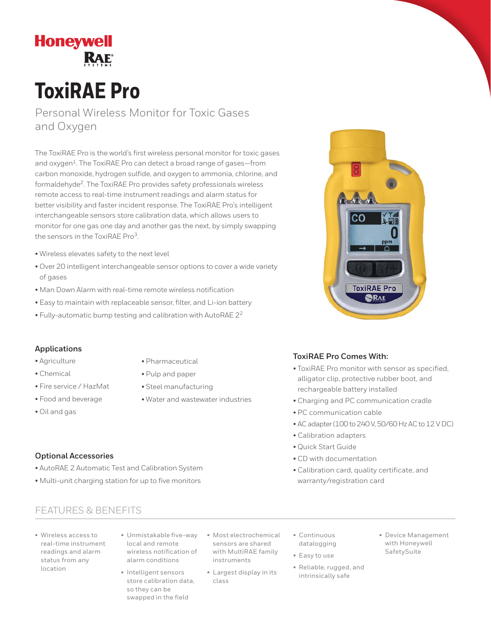# **Honeywell RAE**

# **ToxiRAE Pro**

# Personal Wireless Monitor for Toxic Gases and Oxygen

The ToxiRAE Pro is the world's first wireless personal monitor for toxic gases and oxygen<sup>1</sup>. The ToxiRAE Pro can detect a broad range of gases-from carbon monoxide, hydrogen sulfide, and oxygen to ammonia, chlorine, and formaldehyde2. The ToxiRAE Pro provides safety professionals wireless remote access to real-time instrument readings and alarm status for better visibility and faster incident response. The ToxiRAE Pro's intelligent interchangeable sensors store calibration data, which allows users to monitor for one gas one day and another gas the next, by simply swapping the sensors in the ToxiRAE Pro<sup>3</sup>.

- Wireless elevates safety to the next level
- Over 20 intelligent interchangeable sensor options to cover a wide variety of gases
- Man Down Alarm with real-time remote wireless notification
- Easy to maintain with replaceable sensor, filter, and Li-ion battery
- Fully-automatic bump testing and calibration with AutoRAE 22

#### **Applications**

- Agriculture
- Chemical
- Fire service / HazMat

**Optional Accessories**

- Food and beverage
- Oil and gas

### • Pharmaceutical

- Pulp and paper
- Steel manufacturing
- Water and wastewater industries

## **ToxiRAE Pro Comes With:**

• ToxiRAE Pro monitor with sensor as specified, alligator clip, protective rubber boot, and rechargeable battery installed

**ToxiRAE Pro ORAE** 

- Charging and PC communication cradle
- PC communication cable
- AC adapter (100 to 240 V, 50/60 Hz AC to 12 V DC)
- Calibration adapters
- Quick Start Guide
- CD with documentation
- Calibration card, quality certificate, and warranty/registration card

## FEATURES & BENEFITS

• AutoRAE 2 Automatic Test and Calibration System • Multi-unit charging station for up to five monitors

- Wireless access to real-time instrument readings and alarm status from any location
- local and remote wireless notification of alarm conditions
	- Intelligent sensors store calibration data, so they can be swapped in the field
- sensors are shared with MultiRAE family instruments
- Largest display in its class
- Continuous datalogging
- Easy to use
- Reliable, rugged, and intrinsically safe
- Device Management with Honeywell SafetySuite
- 
- 
- 
- 
- -
- -
- Unmistakable five-way Most electrochemical